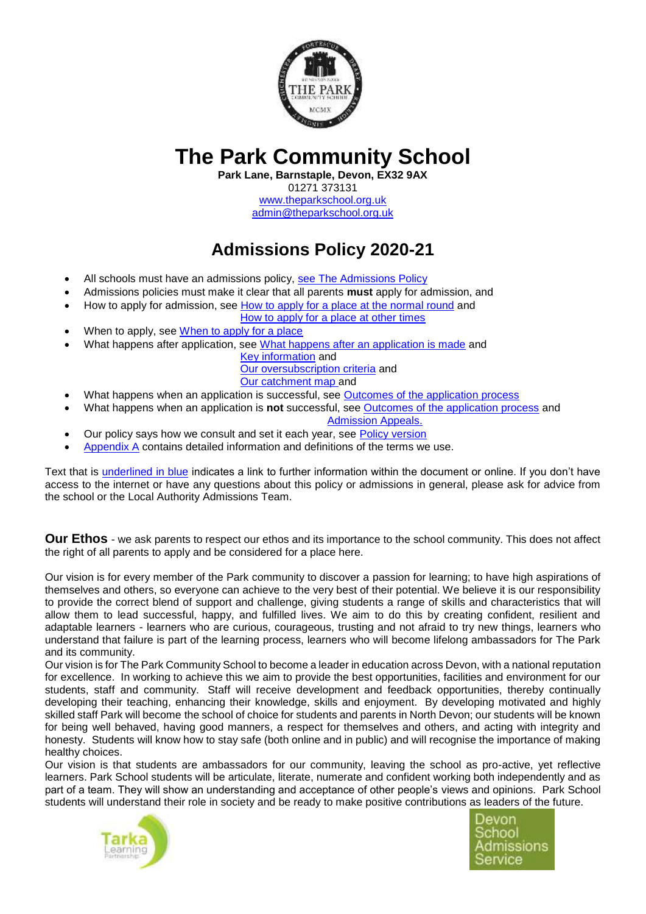

# **The Park Community School**

**Park Lane, Barnstaple, Devon, EX32 9AX**

01271 373131 [www.theparkschool.org.uk](http://www.theparkschool.org.uk/) [admin@theparkschool.org.uk](mailto:admin@theparkschool.org.uk)

**Admissions Policy 2020-21**

- All schools must have an admissions policy, [see The Admissions Policy](#page-3-0)
- Admissions policies must make it clear that all parents **must** apply for admission, and
- How to apply for admission, see [How to apply for a place at the normal round](#page-3-1) and
	- How to apply for a [place at other times](#page-3-2)
- When to apply, see [When to apply for a place](#page-3-2)
- What happens after application, see [What happens after an application is made](#page-3-3) and

[Key information](#page-1-0) and [Our oversubscription criteria](#page-1-1) and [Our catchment map](#page-2-0) and

- What happens when an application is successful, see [Outcomes of the application process](#page-4-0)
- What happens when an application is **not** successful, see [Outcomes of the application process](#page-4-0) and [Admission Appeals.](#page-4-1)
- Our policy says how we consult and set it each year, see [Policy version](#page-1-2)
- [Appendix A](#page-4-2) contains detailed information and definitions of the terms we use.

Text that is underlined in blue indicates a link to further information within the document or online. If you don't have access to the internet or have any questions about this policy or admissions in general, please ask for advice from the school or the Local Authority Admissions Team.

**Our Ethos** - we ask parents to respect our ethos and its importance to the school community. This does not affect the right of all parents to apply and be considered for a place here.

Our vision is for every member of the Park community to discover a passion for learning; to have high aspirations of themselves and others, so everyone can achieve to the very best of their potential. We believe it is our responsibility to provide the correct blend of support and challenge, giving students a range of skills and characteristics that will allow them to lead successful, happy, and fulfilled lives. We aim to do this by creating confident, resilient and adaptable learners - learners who are curious, courageous, trusting and not afraid to try new things, learners who understand that failure is part of the learning process, learners who will become lifelong ambassadors for The Park and its community.

Our vision is for The Park Community School to become a leader in education across Devon, with a national reputation for excellence. In working to achieve this we aim to provide the best opportunities, facilities and environment for our students, staff and community. Staff will receive development and feedback opportunities, thereby continually developing their teaching, enhancing their knowledge, skills and enjoyment. By developing motivated and highly skilled staff Park will become the school of choice for students and parents in North Devon; our students will be known for being well behaved, having good manners, a respect for themselves and others, and acting with integrity and honesty. Students will know how to stay safe (both online and in public) and will recognise the importance of making healthy choices.

Our vision is that students are ambassadors for our community, leaving the school as pro-active, yet reflective learners. Park School students will be articulate, literate, numerate and confident working both independently and as part of a team. They will show an understanding and acceptance of other people's views and opinions. Park School students will understand their role in society and be ready to make positive contributions as leaders of the future.



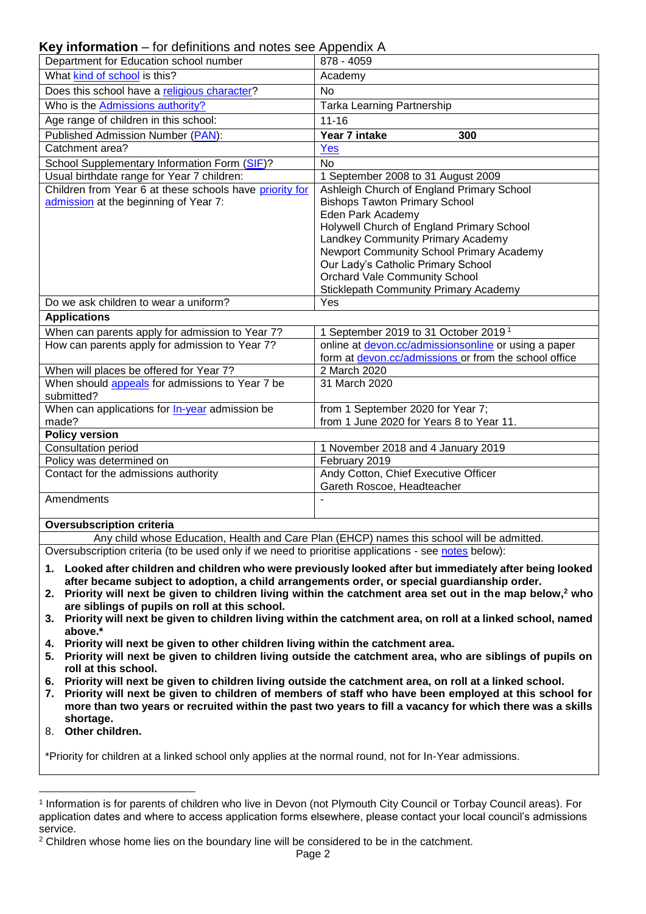<span id="page-1-0"></span>**Key information** – for definitions and notes see Appendix A

| <b>Key information</b> – for definitions and notes see Appendix A                                    |                                                                                            |  |  |
|------------------------------------------------------------------------------------------------------|--------------------------------------------------------------------------------------------|--|--|
| Department for Education school number                                                               | 878 - 4059                                                                                 |  |  |
| What kind of school is this?                                                                         | Academy                                                                                    |  |  |
| Does this school have a religious character?                                                         | <b>No</b>                                                                                  |  |  |
| Who is the Admissions authority?                                                                     | Tarka Learning Partnership                                                                 |  |  |
| Age range of children in this school:                                                                | $11 - 16$                                                                                  |  |  |
| Published Admission Number (PAN):                                                                    | Year 7 intake<br>300                                                                       |  |  |
| Catchment area?                                                                                      | Yes                                                                                        |  |  |
| School Supplementary Information Form (SIF)?                                                         | <b>No</b>                                                                                  |  |  |
| Usual birthdate range for Year 7 children:                                                           | 1 September 2008 to 31 August 2009                                                         |  |  |
| Children from Year 6 at these schools have priority for                                              | Ashleigh Church of England Primary School                                                  |  |  |
| admission at the beginning of Year 7:                                                                | <b>Bishops Tawton Primary School</b>                                                       |  |  |
|                                                                                                      | Eden Park Academy                                                                          |  |  |
|                                                                                                      | Holywell Church of England Primary School                                                  |  |  |
|                                                                                                      | Landkey Community Primary Academy                                                          |  |  |
|                                                                                                      | Newport Community School Primary Academy                                                   |  |  |
|                                                                                                      | Our Lady's Catholic Primary School                                                         |  |  |
|                                                                                                      | <b>Orchard Vale Community School</b>                                                       |  |  |
|                                                                                                      | <b>Sticklepath Community Primary Academy</b>                                               |  |  |
| Do we ask children to wear a uniform?                                                                | Yes                                                                                        |  |  |
| <b>Applications</b>                                                                                  |                                                                                            |  |  |
| When can parents apply for admission to Year 7?                                                      | 1 September 2019 to 31 October 2019 <sup>1</sup>                                           |  |  |
| How can parents apply for admission to Year 7?                                                       | online at devon.cc/admissionsonline or using a paper                                       |  |  |
|                                                                                                      | form at devon.cc/admissions or from the school office                                      |  |  |
| When will places be offered for Year 7?                                                              | 2 March 2020                                                                               |  |  |
| When should appeals for admissions to Year 7 be<br>submitted?                                        | 31 March 2020                                                                              |  |  |
| When can applications for <b>In-year</b> admission be                                                | from 1 September 2020 for Year 7;                                                          |  |  |
| made?                                                                                                | from 1 June 2020 for Years 8 to Year 11.                                                   |  |  |
| <b>Policy version</b>                                                                                |                                                                                            |  |  |
| <b>Consultation period</b>                                                                           | 1 November 2018 and 4 January 2019                                                         |  |  |
| Policy was determined on                                                                             | February 2019                                                                              |  |  |
| Contact for the admissions authority                                                                 | Andy Cotton, Chief Executive Officer                                                       |  |  |
|                                                                                                      | Gareth Roscoe, Headteacher                                                                 |  |  |
| Amendments                                                                                           |                                                                                            |  |  |
| <b>Oversubscription criteria</b>                                                                     |                                                                                            |  |  |
|                                                                                                      | Any child whose Education, Health and Care Plan (EHCP) names this school will be admitted. |  |  |
| Oversubscription criteria (to be used only if we need to prioritise applications - see notes below): |                                                                                            |  |  |

- <span id="page-1-3"></span><span id="page-1-2"></span><span id="page-1-1"></span>**1. Looked after children and children who were previously looked after but immediately after being looked after became subject to adoption, a child arrangements order, or special guardianship order.**
- **2. Priority will next be given to children living within the catchment area set out in the map below,<sup>2</sup> who are siblings of pupils on roll at this school.**
- **3. Priority will next be given to children living within the catchment area, on roll at a linked school, named above.\***
- **4. Priority will next be given to other children living within the catchment area.**
- **5. Priority will next be given to children living outside the catchment area, who are siblings of pupils on roll at this school.**
- **6. Priority will next be given to children living outside the catchment area, on roll at a linked school.**
- **7. Priority will next be given to children of members of staff who have been employed at this school for more than two years or recruited within the past two years to fill a vacancy for which there was a skills shortage.**
- 8. **Other children.**

1

\*Priority for children at a linked school only applies at the normal round, not for In-Year admissions.

<sup>1</sup> Information is for parents of children who live in Devon (not Plymouth City Council or Torbay Council areas). For application dates and where to access application forms elsewhere, please contact your local council's admissions service.

<sup>&</sup>lt;sup>2</sup> Children whose home lies on the boundary line will be considered to be in the catchment.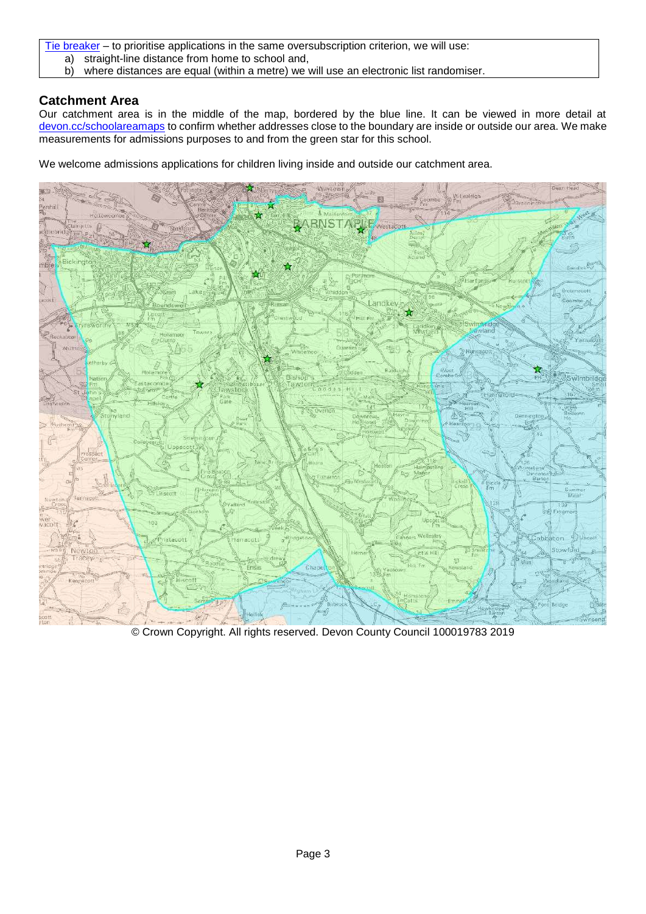[Tie breaker](#page-11-2) – to prioritise applications in the same oversubscription criterion, we will use:

- a) straight-line distance from home to school and,
- b) where distances are equal (within a metre) we will use an electronic list randomiser.

## <span id="page-2-0"></span>**Catchment Area**

Our catchment area is in the middle of the map, bordered by the blue line. It can be viewed in more detail at [devon.cc/schoolareamaps](http://devon.cc/schoolareamaps) to confirm whether addresses close to the boundary are inside or outside our area. We make measurements for admissions purposes to and from the green star for this school.

We welcome admissions applications for children living inside and outside our catchment area.



© Crown Copyright. All rights reserved. Devon County Council 100019783 2019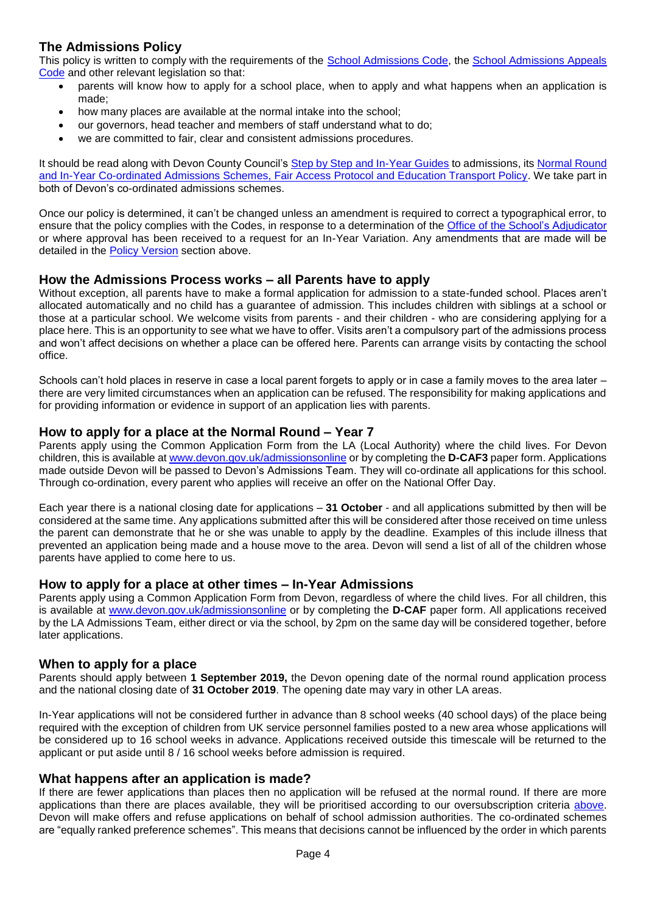## **The Admissions Policy**

This policy is written to comply with the requirements of the [School Admissions Code,](https://www.gov.uk/government/publications/school-admissions-code--2) the [School Admissions Appeals](https://www.gov.uk/government/publications/school-admissions-appeals-code)  [Code](https://www.gov.uk/government/publications/school-admissions-appeals-code) and other relevant legislation so that:

- <span id="page-3-0"></span>parents will know how to apply for a school place, when to apply and what happens when an application is made;
- how many places are available at the normal intake into the school;
- our governors, head teacher and members of staff understand what to do;
- we are committed to fair, clear and consistent admissions procedures.

It should be read along with Devon County Council's [Step by Step and In-Year Guides](https://devoncc.sharepoint.com/:f:/r/sites/PublicDocs/Education/Children/Admissions/Composite%20Prospectus?csf=1&e=OwE5y2) to admissions, its Normal Round [and In-Year Co-ordinated Admissions Schemes, Fair Access Protocol and Education Transport Policy.](https://devoncc.sharepoint.com/:f:/r/sites/PublicDocs/Education/Children/Admissions/Devon%20LA%20policies?csf=1&e=EC6jZg) We take part in both of Devon's co-ordinated admissions schemes.

Once our policy is determined, it can't be changed unless an amendment is required to correct a typographical error, to ensure that the policy complies with the Codes, in response to a determination of the [Office of the School's Adjudicator](https://www.gov.uk/government/organisations/office-of-the-schools-adjudicator) or where approval has been received to a request for an In-Year Variation. Any amendments that are made will be detailed in the [Policy Version](#page-1-2) section above.

### **How the Admissions Process works – all Parents have to apply**

Without exception, all parents have to make a formal application for admission to a state-funded school. Places aren't allocated automatically and no child has a guarantee of admission. This includes children with siblings at a school or those at a particular school. We welcome visits from parents - and their children - who are considering applying for a place here. This is an opportunity to see what we have to offer. Visits aren't a compulsory part of the admissions process and won't affect decisions on whether a place can be offered here. Parents can arrange visits by contacting the school office.

Schools can't hold places in reserve in case a local parent forgets to apply or in case a family moves to the area later – there are very limited circumstances when an application can be refused. The responsibility for making applications and for providing information or evidence in support of an application lies with parents.

#### <span id="page-3-1"></span>**How to apply for a place at the Normal Round – Year 7**

Parents apply using the Common Application Form from the LA (Local Authority) where the child lives. For Devon children, this is available at [www.devon.gov.uk/admissionsonline](http://www.devon.gov.uk/admissionsonline) or by completing the **D-CAF3** paper form. Applications made outside Devon will be passed to Devon's Admissions Team. They will co-ordinate all applications for this school. Through co-ordination, every parent who applies will receive an offer on the National Offer Day.

Each year there is a national closing date for applications – **31 October** - and all applications submitted by then will be considered at the same time. Any applications submitted after this will be considered after those received on time unless the parent can demonstrate that he or she was unable to apply by the deadline. Examples of this include illness that prevented an application being made and a house move to the area. Devon will send a list of all of the children whose parents have applied to come here to us.

#### <span id="page-3-2"></span>**How to apply for a place at other times – In-Year Admissions**

Parents apply using a Common Application Form from Devon, regardless of where the child lives. For all children, this is available at [www.devon.gov.uk/admissionsonline](http://www.devon.gov.uk/admissionsonline) or by completing the **D-CAF** paper form. All applications received by the LA Admissions Team, either direct or via the school, by 2pm on the same day will be considered together, before later applications.

#### **When to apply for a place**

Parents should apply between **1 September 2019,** the Devon opening date of the normal round application process and the national closing date of **31 October 2019**. The opening date may vary in other LA areas.

In-Year applications will not be considered further in advance than 8 school weeks (40 school days) of the place being required with the exception of children from UK service personnel families posted to a new area whose applications will be considered up to 16 school weeks in advance. Applications received outside this timescale will be returned to the applicant or put aside until 8 / 16 school weeks before admission is required.

#### <span id="page-3-3"></span>**What happens after an application is made?**

If there are fewer applications than places then no application will be refused at the normal round. If there are more applications than there are places available, they will be prioritised according to our oversubscription criteria [above.](#page-1-3) Devon will make offers and refuse applications on behalf of school admission authorities. The co-ordinated schemes are "equally ranked preference schemes". This means that decisions cannot be influenced by the order in which parents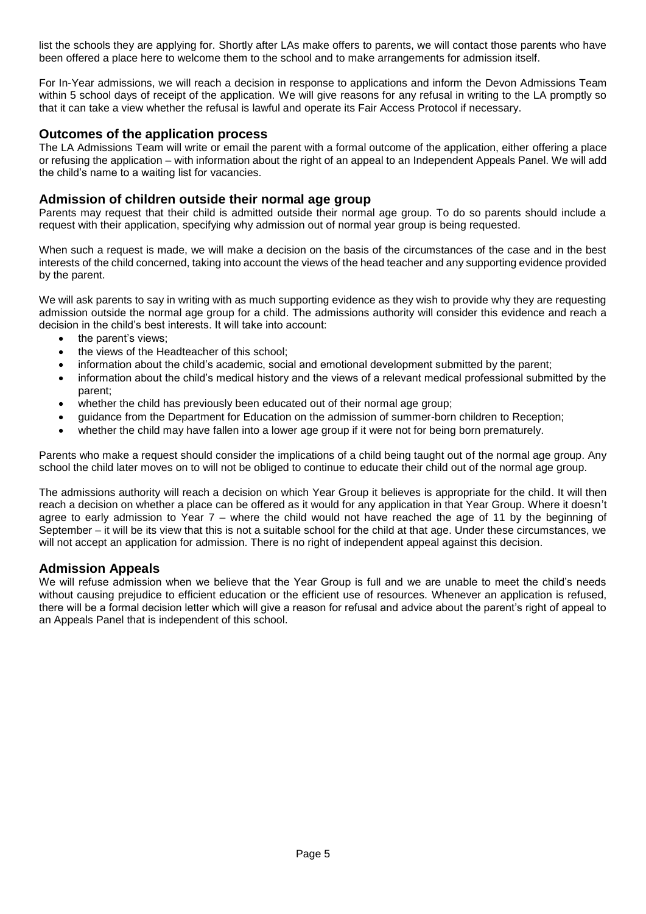list the schools they are applying for. Shortly after LAs make offers to parents, we will contact those parents who have been offered a place here to welcome them to the school and to make arrangements for admission itself.

For In-Year admissions, we will reach a decision in response to applications and inform the Devon Admissions Team within 5 school days of receipt of the application. We will give reasons for any refusal in writing to the LA promptly so that it can take a view whether the refusal is lawful and operate its Fair Access Protocol if necessary.

#### <span id="page-4-0"></span>**Outcomes of the application process**

The LA Admissions Team will write or email the parent with a formal outcome of the application, either offering a place or refusing the application – with information about the right of an appeal to an Independent Appeals Panel. We will add the child's name to a waiting list for vacancies.

#### **Admission of children outside their normal age group**

Parents may request that their child is admitted outside their normal age group. To do so parents should include a request with their application, specifying why admission out of normal year group is being requested.

When such a request is made, we will make a decision on the basis of the circumstances of the case and in the best interests of the child concerned, taking into account the views of the head teacher and any supporting evidence provided by the parent.

We will ask parents to say in writing with as much supporting evidence as they wish to provide why they are requesting admission outside the normal age group for a child. The admissions authority will consider this evidence and reach a decision in the child's best interests. It will take into account:

- the parent's views:
- the views of the Headteacher of this school;
- information about the child's academic, social and emotional development submitted by the parent;
- information about the child's medical history and the views of a relevant medical professional submitted by the parent;
- whether the child has previously been educated out of their normal age group;
- guidance from the Department for Education on the admission of summer-born children to Reception;
- whether the child may have fallen into a lower age group if it were not for being born prematurely.

Parents who make a request should consider the implications of a child being taught out of the normal age group. Any school the child later moves on to will not be obliged to continue to educate their child out of the normal age group.

The admissions authority will reach a decision on which Year Group it believes is appropriate for the child. It will then reach a decision on whether a place can be offered as it would for any application in that Year Group. Where it doesn't agree to early admission to Year 7 – where the child would not have reached the age of 11 by the beginning of September – it will be its view that this is not a suitable school for the child at that age. Under these circumstances, we will not accept an application for admission. There is no right of independent appeal against this decision.

#### <span id="page-4-1"></span>**Admission Appeals**

<span id="page-4-2"></span>We will refuse admission when we believe that the Year Group is full and we are unable to meet the child's needs without causing prejudice to efficient education or the efficient use of resources. Whenever an application is refused, there will be a formal decision letter which will give a reason for refusal and advice about the parent's right of appeal to an Appeals Panel that is independent of this school.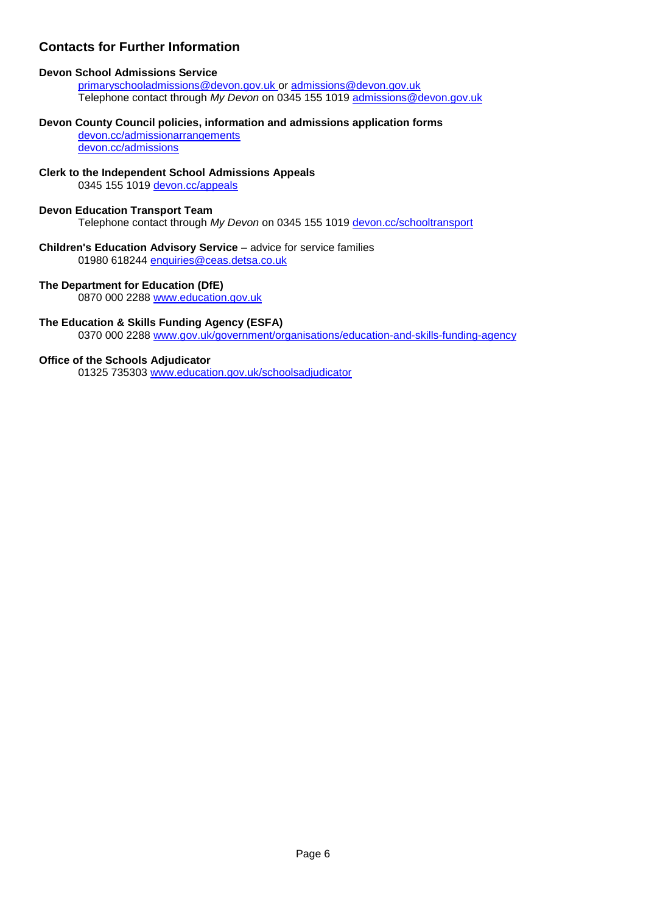## **Contacts for Further Information**

#### **Devon School Admissions Service**

[primaryschooladmissions@devon.gov.uk](mailto:primaryschooladmissions@devon.gov.uk) or [admissions@devon.gov.uk](mailto:admissions@devon.gov.uk) Telephone contact through *My Devon* on 0345 155 1019 [admissions@devon.gov.uk](mailto:admissions@devon.gov.uk)

#### **Devon County Council policies, information and admissions application forms**

[devon.cc/admissionarrangements](http://devon.cc/admissionarrangements) [devon.cc/admissions](http://devon.cc/admissions)

#### **Clerk to the Independent School Admissions Appeals**

0345 155 1019 [devon.cc/appeals](http://devon.cc/appeals)

#### **Devon Education Transport Team**

Telephone contact through *My Devon* on 0345 155 1019 [devon.cc/schooltransport](http://devon.cc/schooltransport)

#### **Children's Education Advisory Service** – advice for service families 01980 618244 [enquiries@ceas.detsa.co.uk](mailto:enquiries@ceas.detsa.co.uk)

#### **The Department for Education (DfE)**

0870 000 2288 [www.education.gov.uk](http://www.education.gov.uk/)

#### **The Education & Skills Funding Agency (ESFA)**

0370 000 2288 [www.gov.uk/government/organisations/education-and-skills-funding-agency](http://www.gov.uk/government/organisations/education-and-skills-funding-agency)

#### **Office of the Schools Adjudicator**

01325 735303 [www.education.gov.uk/schoolsadjudicator](http://www.education.gov.uk/schoolsadjudicator)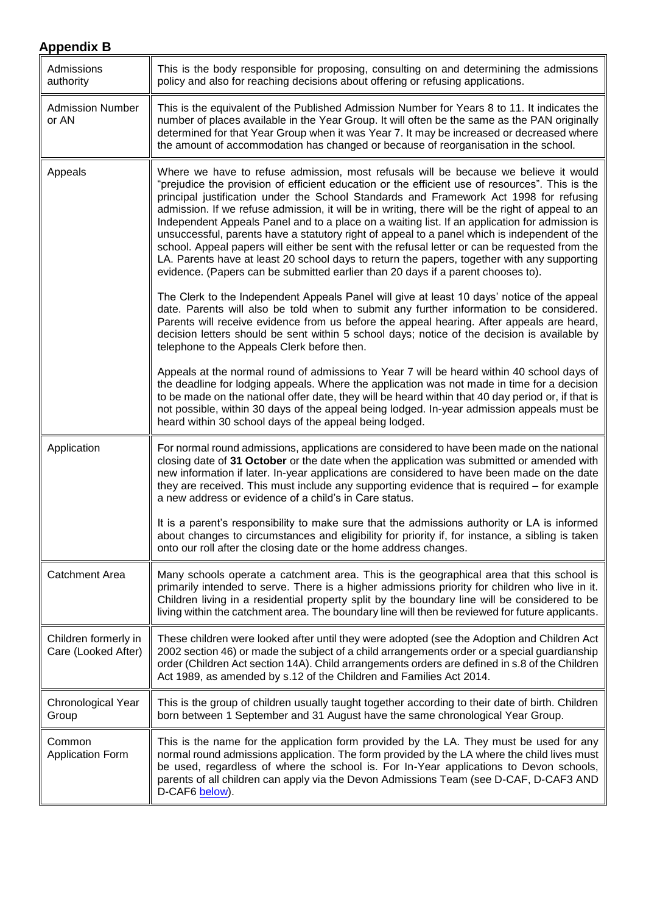<span id="page-6-0"></span>

| Admissions<br>authority                     | This is the body responsible for proposing, consulting on and determining the admissions<br>policy and also for reaching decisions about offering or refusing applications.                                                                                                                                                                                                                                                                                                                                                                                                                                                                                                                                                                                                                                                                                                    |
|---------------------------------------------|--------------------------------------------------------------------------------------------------------------------------------------------------------------------------------------------------------------------------------------------------------------------------------------------------------------------------------------------------------------------------------------------------------------------------------------------------------------------------------------------------------------------------------------------------------------------------------------------------------------------------------------------------------------------------------------------------------------------------------------------------------------------------------------------------------------------------------------------------------------------------------|
| <b>Admission Number</b><br>or AN            | This is the equivalent of the Published Admission Number for Years 8 to 11. It indicates the<br>number of places available in the Year Group. It will often be the same as the PAN originally<br>determined for that Year Group when it was Year 7. It may be increased or decreased where<br>the amount of accommodation has changed or because of reorganisation in the school.                                                                                                                                                                                                                                                                                                                                                                                                                                                                                              |
| Appeals                                     | Where we have to refuse admission, most refusals will be because we believe it would<br>"prejudice the provision of efficient education or the efficient use of resources". This is the<br>principal justification under the School Standards and Framework Act 1998 for refusing<br>admission. If we refuse admission, it will be in writing, there will be the right of appeal to an<br>Independent Appeals Panel and to a place on a waiting list. If an application for admission is<br>unsuccessful, parents have a statutory right of appeal to a panel which is independent of the<br>school. Appeal papers will either be sent with the refusal letter or can be requested from the<br>LA. Parents have at least 20 school days to return the papers, together with any supporting<br>evidence. (Papers can be submitted earlier than 20 days if a parent chooses to). |
|                                             | The Clerk to the Independent Appeals Panel will give at least 10 days' notice of the appeal<br>date. Parents will also be told when to submit any further information to be considered.<br>Parents will receive evidence from us before the appeal hearing. After appeals are heard,<br>decision letters should be sent within 5 school days; notice of the decision is available by<br>telephone to the Appeals Clerk before then.                                                                                                                                                                                                                                                                                                                                                                                                                                            |
|                                             | Appeals at the normal round of admissions to Year 7 will be heard within 40 school days of<br>the deadline for lodging appeals. Where the application was not made in time for a decision<br>to be made on the national offer date, they will be heard within that 40 day period or, if that is<br>not possible, within 30 days of the appeal being lodged. In-year admission appeals must be<br>heard within 30 school days of the appeal being lodged.                                                                                                                                                                                                                                                                                                                                                                                                                       |
| Application                                 | For normal round admissions, applications are considered to have been made on the national<br>closing date of 31 October or the date when the application was submitted or amended with<br>new information if later. In-year applications are considered to have been made on the date<br>they are received. This must include any supporting evidence that is required – for example<br>a new address or evidence of a child's in Care status.                                                                                                                                                                                                                                                                                                                                                                                                                                |
|                                             | It is a parent's responsibility to make sure that the admissions authority or LA is informed<br>about changes to circumstances and eligibility for priority if, for instance, a sibling is taken<br>onto our roll after the closing date or the home address changes.                                                                                                                                                                                                                                                                                                                                                                                                                                                                                                                                                                                                          |
| <b>Catchment Area</b>                       | Many schools operate a catchment area. This is the geographical area that this school is<br>primarily intended to serve. There is a higher admissions priority for children who live in it.<br>Children living in a residential property split by the boundary line will be considered to be<br>living within the catchment area. The boundary line will then be reviewed for future applicants.                                                                                                                                                                                                                                                                                                                                                                                                                                                                               |
| Children formerly in<br>Care (Looked After) | These children were looked after until they were adopted (see the Adoption and Children Act<br>2002 section 46) or made the subject of a child arrangements order or a special guardianship<br>order (Children Act section 14A). Child arrangements orders are defined in s.8 of the Children<br>Act 1989, as amended by s.12 of the Children and Families Act 2014.                                                                                                                                                                                                                                                                                                                                                                                                                                                                                                           |
| Chronological Year<br>Group                 | This is the group of children usually taught together according to their date of birth. Children<br>born between 1 September and 31 August have the same chronological Year Group.                                                                                                                                                                                                                                                                                                                                                                                                                                                                                                                                                                                                                                                                                             |
| Common<br><b>Application Form</b>           | This is the name for the application form provided by the LA. They must be used for any<br>normal round admissions application. The form provided by the LA where the child lives must<br>be used, regardless of where the school is. For In-Year applications to Devon schools,<br>parents of all children can apply via the Devon Admissions Team (see D-CAF, D-CAF3 AND<br>D-CAF6 below).                                                                                                                                                                                                                                                                                                                                                                                                                                                                                   |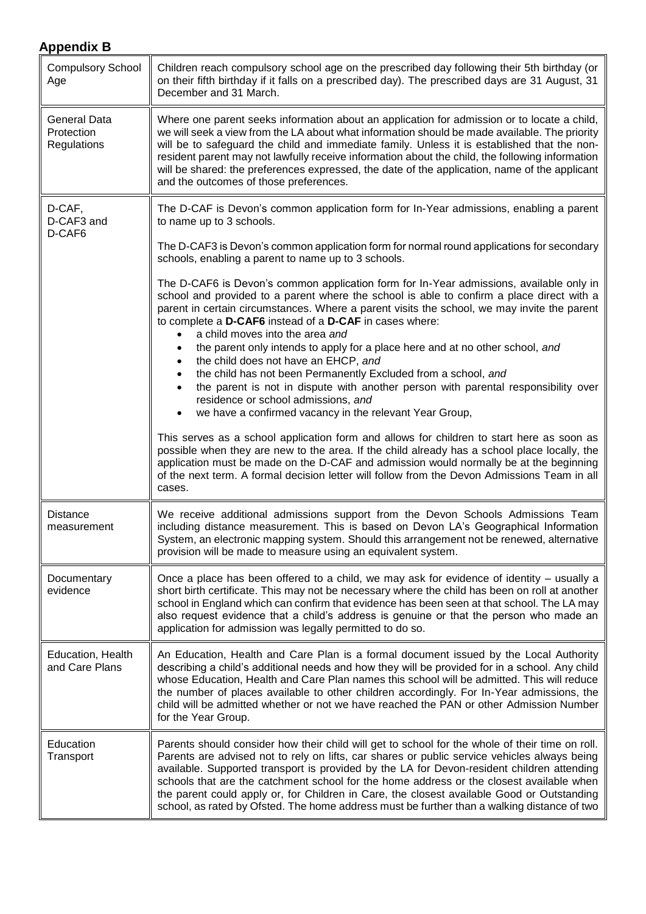<span id="page-7-0"></span>

| <b>Compulsory School</b><br>Age                  | Children reach compulsory school age on the prescribed day following their 5th birthday (or<br>on their fifth birthday if it falls on a prescribed day). The prescribed days are 31 August, 31<br>December and 31 March.                                                                                                                                                                                                                                                                                                                                                                                                                                                                                                                                                                                                                           |
|--------------------------------------------------|----------------------------------------------------------------------------------------------------------------------------------------------------------------------------------------------------------------------------------------------------------------------------------------------------------------------------------------------------------------------------------------------------------------------------------------------------------------------------------------------------------------------------------------------------------------------------------------------------------------------------------------------------------------------------------------------------------------------------------------------------------------------------------------------------------------------------------------------------|
| <b>General Data</b><br>Protection<br>Regulations | Where one parent seeks information about an application for admission or to locate a child,<br>we will seek a view from the LA about what information should be made available. The priority<br>will be to safeguard the child and immediate family. Unless it is established that the non-<br>resident parent may not lawfully receive information about the child, the following information<br>will be shared: the preferences expressed, the date of the application, name of the applicant<br>and the outcomes of those preferences.                                                                                                                                                                                                                                                                                                          |
| D-CAF,<br>D-CAF3 and<br>D-CAF6                   | The D-CAF is Devon's common application form for In-Year admissions, enabling a parent<br>to name up to 3 schools.                                                                                                                                                                                                                                                                                                                                                                                                                                                                                                                                                                                                                                                                                                                                 |
|                                                  | The D-CAF3 is Devon's common application form for normal round applications for secondary<br>schools, enabling a parent to name up to 3 schools.                                                                                                                                                                                                                                                                                                                                                                                                                                                                                                                                                                                                                                                                                                   |
|                                                  | The D-CAF6 is Devon's common application form for In-Year admissions, available only in<br>school and provided to a parent where the school is able to confirm a place direct with a<br>parent in certain circumstances. Where a parent visits the school, we may invite the parent<br>to complete a D-CAF6 instead of a D-CAF in cases where:<br>a child moves into the area and<br>$\bullet$<br>the parent only intends to apply for a place here and at no other school, and<br>$\bullet$<br>the child does not have an EHCP, and<br>$\bullet$<br>the child has not been Permanently Excluded from a school, and<br>$\bullet$<br>the parent is not in dispute with another person with parental responsibility over<br>$\bullet$<br>residence or school admissions, and<br>we have a confirmed vacancy in the relevant Year Group,<br>$\bullet$ |
|                                                  | This serves as a school application form and allows for children to start here as soon as<br>possible when they are new to the area. If the child already has a school place locally, the<br>application must be made on the D-CAF and admission would normally be at the beginning<br>of the next term. A formal decision letter will follow from the Devon Admissions Team in all<br>cases.                                                                                                                                                                                                                                                                                                                                                                                                                                                      |
| <b>Distance</b><br>measurement                   | We receive additional admissions support from the Devon Schools Admissions Team<br>including distance measurement. This is based on Devon LA's Geographical Information<br>System, an electronic mapping system. Should this arrangement not be renewed, alternative<br>provision will be made to measure using an equivalent system.                                                                                                                                                                                                                                                                                                                                                                                                                                                                                                              |
| Documentary<br>evidence                          | Once a place has been offered to a child, we may ask for evidence of identity – usually a<br>short birth certificate. This may not be necessary where the child has been on roll at another<br>school in England which can confirm that evidence has been seen at that school. The LA may<br>also request evidence that a child's address is genuine or that the person who made an<br>application for admission was legally permitted to do so.                                                                                                                                                                                                                                                                                                                                                                                                   |
| Education, Health<br>and Care Plans              | An Education, Health and Care Plan is a formal document issued by the Local Authority<br>describing a child's additional needs and how they will be provided for in a school. Any child<br>whose Education, Health and Care Plan names this school will be admitted. This will reduce<br>the number of places available to other children accordingly. For In-Year admissions, the<br>child will be admitted whether or not we have reached the PAN or other Admission Number<br>for the Year Group.                                                                                                                                                                                                                                                                                                                                               |
| Education<br>Transport                           | Parents should consider how their child will get to school for the whole of their time on roll.<br>Parents are advised not to rely on lifts, car shares or public service vehicles always being<br>available. Supported transport is provided by the LA for Devon-resident children attending<br>schools that are the catchment school for the home address or the closest available when<br>the parent could apply or, for Children in Care, the closest available Good or Outstanding<br>school, as rated by Ofsted. The home address must be further than a walking distance of two                                                                                                                                                                                                                                                             |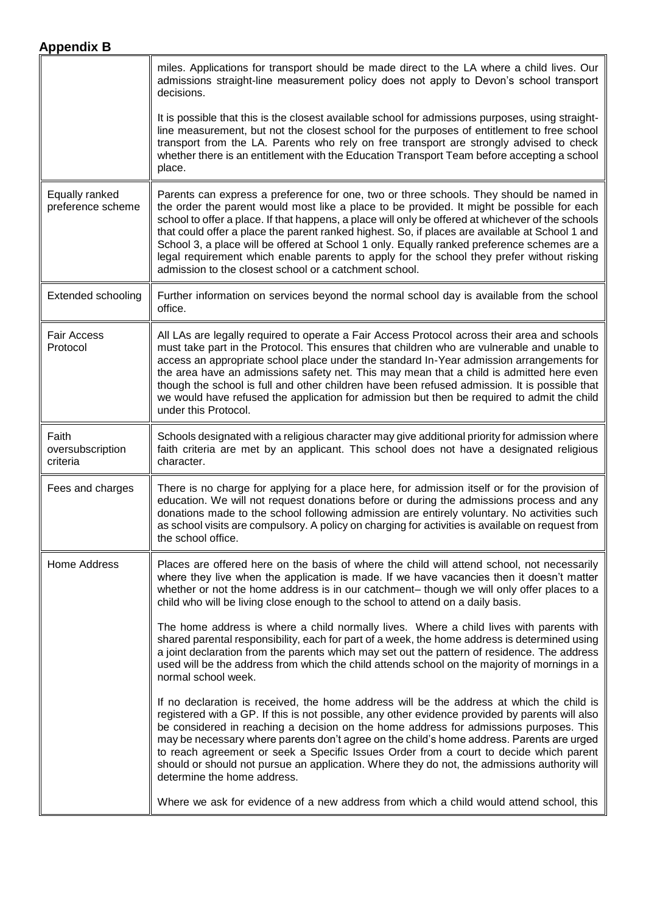<span id="page-8-0"></span>

|                                       | miles. Applications for transport should be made direct to the LA where a child lives. Our<br>admissions straight-line measurement policy does not apply to Devon's school transport<br>decisions.                                                                                                                                                                                                                                                                                                                                                                                                                                                    |
|---------------------------------------|-------------------------------------------------------------------------------------------------------------------------------------------------------------------------------------------------------------------------------------------------------------------------------------------------------------------------------------------------------------------------------------------------------------------------------------------------------------------------------------------------------------------------------------------------------------------------------------------------------------------------------------------------------|
|                                       | It is possible that this is the closest available school for admissions purposes, using straight-<br>line measurement, but not the closest school for the purposes of entitlement to free school<br>transport from the LA. Parents who rely on free transport are strongly advised to check<br>whether there is an entitlement with the Education Transport Team before accepting a school<br>place.                                                                                                                                                                                                                                                  |
| Equally ranked<br>preference scheme   | Parents can express a preference for one, two or three schools. They should be named in<br>the order the parent would most like a place to be provided. It might be possible for each<br>school to offer a place. If that happens, a place will only be offered at whichever of the schools<br>that could offer a place the parent ranked highest. So, if places are available at School 1 and<br>School 3, a place will be offered at School 1 only. Equally ranked preference schemes are a<br>legal requirement which enable parents to apply for the school they prefer without risking<br>admission to the closest school or a catchment school. |
| <b>Extended schooling</b>             | Further information on services beyond the normal school day is available from the school<br>office.                                                                                                                                                                                                                                                                                                                                                                                                                                                                                                                                                  |
| <b>Fair Access</b><br>Protocol        | All LAs are legally required to operate a Fair Access Protocol across their area and schools<br>must take part in the Protocol. This ensures that children who are vulnerable and unable to<br>access an appropriate school place under the standard In-Year admission arrangements for<br>the area have an admissions safety net. This may mean that a child is admitted here even<br>though the school is full and other children have been refused admission. It is possible that<br>we would have refused the application for admission but then be required to admit the child<br>under this Protocol.                                           |
| Faith<br>oversubscription<br>criteria | Schools designated with a religious character may give additional priority for admission where<br>faith criteria are met by an applicant. This school does not have a designated religious<br>character.                                                                                                                                                                                                                                                                                                                                                                                                                                              |
| Fees and charges                      | There is no charge for applying for a place here, for admission itself or for the provision of<br>education. We will not request donations before or during the admissions process and any<br>donations made to the school following admission are entirely voluntary. No activities such<br>as school visits are compulsory. A policy on charging for activities is available on request from<br>the school office.                                                                                                                                                                                                                                  |
| <b>Home Address</b>                   | Places are offered here on the basis of where the child will attend school, not necessarily<br>where they live when the application is made. If we have vacancies then it doesn't matter<br>whether or not the home address is in our catchment-though we will only offer places to a<br>child who will be living close enough to the school to attend on a daily basis.                                                                                                                                                                                                                                                                              |
|                                       | The home address is where a child normally lives. Where a child lives with parents with<br>shared parental responsibility, each for part of a week, the home address is determined using<br>a joint declaration from the parents which may set out the pattern of residence. The address<br>used will be the address from which the child attends school on the majority of mornings in a<br>normal school week.                                                                                                                                                                                                                                      |
|                                       | If no declaration is received, the home address will be the address at which the child is<br>registered with a GP. If this is not possible, any other evidence provided by parents will also<br>be considered in reaching a decision on the home address for admissions purposes. This<br>may be necessary where parents don't agree on the child's home address. Parents are urged<br>to reach agreement or seek a Specific Issues Order from a court to decide which parent<br>should or should not pursue an application. Where they do not, the admissions authority will<br>determine the home address.                                          |
|                                       | Where we ask for evidence of a new address from which a child would attend school, this                                                                                                                                                                                                                                                                                                                                                                                                                                                                                                                                                               |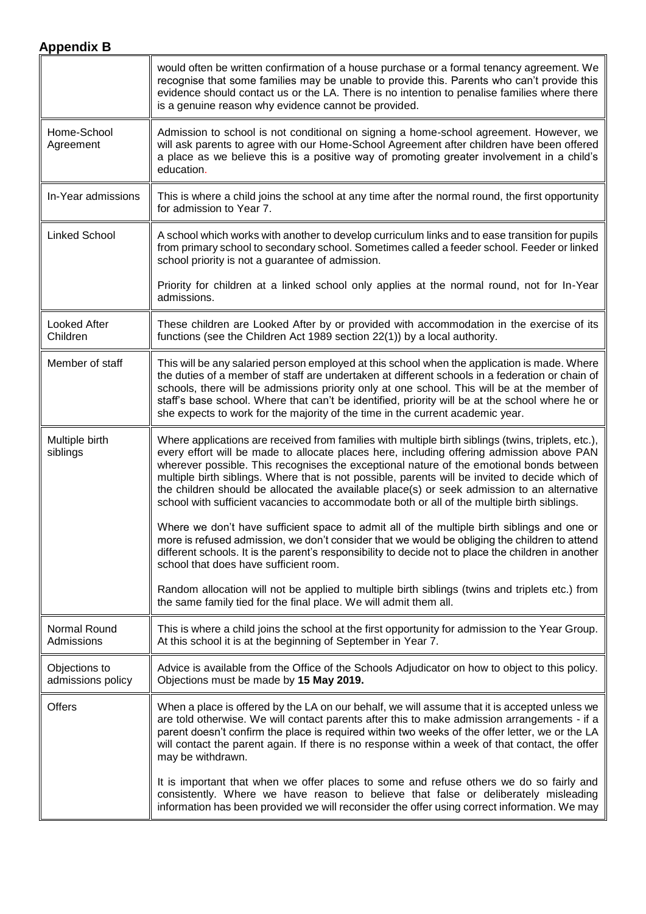<span id="page-9-1"></span><span id="page-9-0"></span>

|                                    | would often be written confirmation of a house purchase or a formal tenancy agreement. We<br>recognise that some families may be unable to provide this. Parents who can't provide this<br>evidence should contact us or the LA. There is no intention to penalise families where there<br>is a genuine reason why evidence cannot be provided.                                                                                                                                                                                                                                               |
|------------------------------------|-----------------------------------------------------------------------------------------------------------------------------------------------------------------------------------------------------------------------------------------------------------------------------------------------------------------------------------------------------------------------------------------------------------------------------------------------------------------------------------------------------------------------------------------------------------------------------------------------|
| Home-School<br>Agreement           | Admission to school is not conditional on signing a home-school agreement. However, we<br>will ask parents to agree with our Home-School Agreement after children have been offered<br>a place as we believe this is a positive way of promoting greater involvement in a child's<br>education.                                                                                                                                                                                                                                                                                               |
| In-Year admissions                 | This is where a child joins the school at any time after the normal round, the first opportunity<br>for admission to Year 7.                                                                                                                                                                                                                                                                                                                                                                                                                                                                  |
| <b>Linked School</b>               | A school which works with another to develop curriculum links and to ease transition for pupils<br>from primary school to secondary school. Sometimes called a feeder school. Feeder or linked<br>school priority is not a guarantee of admission.                                                                                                                                                                                                                                                                                                                                            |
|                                    | Priority for children at a linked school only applies at the normal round, not for In-Year<br>admissions.                                                                                                                                                                                                                                                                                                                                                                                                                                                                                     |
| <b>Looked After</b><br>Children    | These children are Looked After by or provided with accommodation in the exercise of its<br>functions (see the Children Act 1989 section 22(1)) by a local authority.                                                                                                                                                                                                                                                                                                                                                                                                                         |
| Member of staff                    | This will be any salaried person employed at this school when the application is made. Where<br>the duties of a member of staff are undertaken at different schools in a federation or chain of<br>schools, there will be admissions priority only at one school. This will be at the member of<br>staff's base school. Where that can't be identified, priority will be at the school where he or<br>she expects to work for the majority of the time in the current academic year.                                                                                                          |
| Multiple birth<br>siblings         | Where applications are received from families with multiple birth siblings (twins, triplets, etc.),<br>every effort will be made to allocate places here, including offering admission above PAN<br>wherever possible. This recognises the exceptional nature of the emotional bonds between<br>multiple birth siblings. Where that is not possible, parents will be invited to decide which of<br>the children should be allocated the available place(s) or seek admission to an alternative<br>school with sufficient vacancies to accommodate both or all of the multiple birth siblings. |
|                                    | Where we don't have sufficient space to admit all of the multiple birth siblings and one or<br>more is refused admission, we don't consider that we would be obliging the children to attend<br>different schools. It is the parent's responsibility to decide not to place the children in another<br>school that does have sufficient room.                                                                                                                                                                                                                                                 |
|                                    | Random allocation will not be applied to multiple birth siblings (twins and triplets etc.) from<br>the same family tied for the final place. We will admit them all.                                                                                                                                                                                                                                                                                                                                                                                                                          |
| Normal Round<br>Admissions         | This is where a child joins the school at the first opportunity for admission to the Year Group.<br>At this school it is at the beginning of September in Year 7.                                                                                                                                                                                                                                                                                                                                                                                                                             |
| Objections to<br>admissions policy | Advice is available from the Office of the Schools Adjudicator on how to object to this policy.<br>Objections must be made by 15 May 2019.                                                                                                                                                                                                                                                                                                                                                                                                                                                    |
| <b>Offers</b>                      | When a place is offered by the LA on our behalf, we will assume that it is accepted unless we<br>are told otherwise. We will contact parents after this to make admission arrangements - if a<br>parent doesn't confirm the place is required within two weeks of the offer letter, we or the LA<br>will contact the parent again. If there is no response within a week of that contact, the offer<br>may be withdrawn.                                                                                                                                                                      |
|                                    | It is important that when we offer places to some and refuse others we do so fairly and<br>consistently. Where we have reason to believe that false or deliberately misleading<br>information has been provided we will reconsider the offer using correct information. We may                                                                                                                                                                                                                                                                                                                |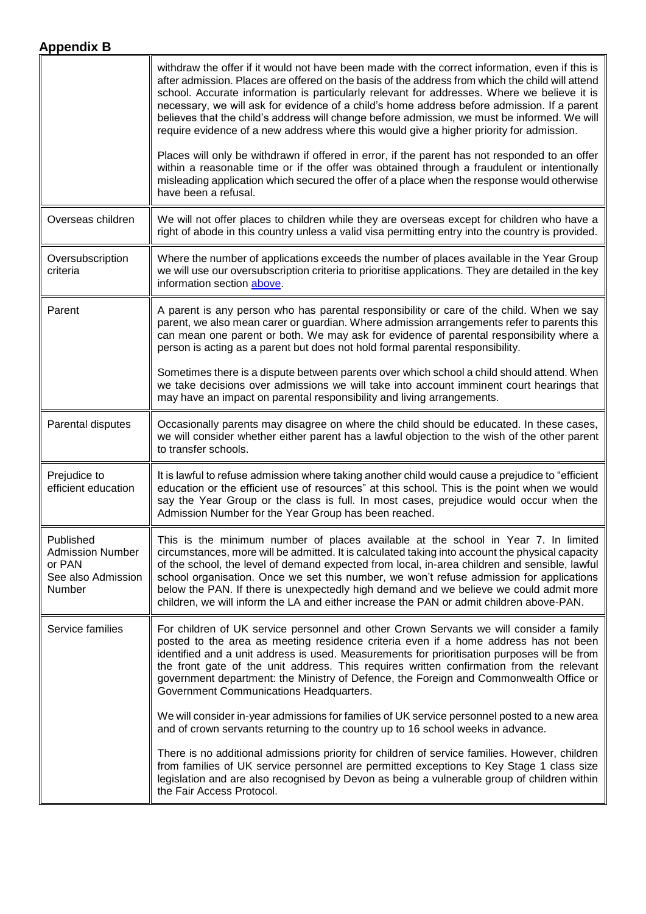<span id="page-10-0"></span>

|                                                                                | withdraw the offer if it would not have been made with the correct information, even if this is<br>after admission. Places are offered on the basis of the address from which the child will attend<br>school. Accurate information is particularly relevant for addresses. Where we believe it is<br>necessary, we will ask for evidence of a child's home address before admission. If a parent<br>believes that the child's address will change before admission, we must be informed. We will<br>require evidence of a new address where this would give a higher priority for admission.<br>Places will only be withdrawn if offered in error, if the parent has not responded to an offer<br>within a reasonable time or if the offer was obtained through a fraudulent or intentionally<br>misleading application which secured the offer of a place when the response would otherwise<br>have been a refusal. |
|--------------------------------------------------------------------------------|-----------------------------------------------------------------------------------------------------------------------------------------------------------------------------------------------------------------------------------------------------------------------------------------------------------------------------------------------------------------------------------------------------------------------------------------------------------------------------------------------------------------------------------------------------------------------------------------------------------------------------------------------------------------------------------------------------------------------------------------------------------------------------------------------------------------------------------------------------------------------------------------------------------------------|
| Overseas children                                                              | We will not offer places to children while they are overseas except for children who have a<br>right of abode in this country unless a valid visa permitting entry into the country is provided.                                                                                                                                                                                                                                                                                                                                                                                                                                                                                                                                                                                                                                                                                                                      |
| Oversubscription<br>criteria                                                   | Where the number of applications exceeds the number of places available in the Year Group<br>we will use our oversubscription criteria to prioritise applications. They are detailed in the key<br>information section above.                                                                                                                                                                                                                                                                                                                                                                                                                                                                                                                                                                                                                                                                                         |
| Parent                                                                         | A parent is any person who has parental responsibility or care of the child. When we say<br>parent, we also mean carer or guardian. Where admission arrangements refer to parents this<br>can mean one parent or both. We may ask for evidence of parental responsibility where a<br>person is acting as a parent but does not hold formal parental responsibility.                                                                                                                                                                                                                                                                                                                                                                                                                                                                                                                                                   |
|                                                                                | Sometimes there is a dispute between parents over which school a child should attend. When<br>we take decisions over admissions we will take into account imminent court hearings that<br>may have an impact on parental responsibility and living arrangements.                                                                                                                                                                                                                                                                                                                                                                                                                                                                                                                                                                                                                                                      |
| Parental disputes                                                              | Occasionally parents may disagree on where the child should be educated. In these cases,<br>we will consider whether either parent has a lawful objection to the wish of the other parent<br>to transfer schools.                                                                                                                                                                                                                                                                                                                                                                                                                                                                                                                                                                                                                                                                                                     |
| Prejudice to<br>efficient education                                            | It is lawful to refuse admission where taking another child would cause a prejudice to "efficient<br>education or the efficient use of resources" at this school. This is the point when we would<br>say the Year Group or the class is full. In most cases, prejudice would occur when the<br>Admission Number for the Year Group has been reached.                                                                                                                                                                                                                                                                                                                                                                                                                                                                                                                                                                  |
| Published<br><b>Admission Number</b><br>or PAN<br>See also Admission<br>Number | This is the minimum number of places available at the school in Year 7. In limited<br>circumstances, more will be admitted. It is calculated taking into account the physical capacity<br>of the school, the level of demand expected from local, in-area children and sensible, lawful<br>school organisation. Once we set this number, we won't refuse admission for applications<br>below the PAN. If there is unexpectedly high demand and we believe we could admit more<br>children, we will inform the LA and either increase the PAN or admit children above-PAN.                                                                                                                                                                                                                                                                                                                                             |
| Service families                                                               | For children of UK service personnel and other Crown Servants we will consider a family<br>posted to the area as meeting residence criteria even if a home address has not been<br>identified and a unit address is used. Measurements for prioritisation purposes will be from<br>the front gate of the unit address. This requires written confirmation from the relevant<br>government department: the Ministry of Defence, the Foreign and Commonwealth Office or<br>Government Communications Headquarters.                                                                                                                                                                                                                                                                                                                                                                                                      |
|                                                                                | We will consider in-year admissions for families of UK service personnel posted to a new area<br>and of crown servants returning to the country up to 16 school weeks in advance.                                                                                                                                                                                                                                                                                                                                                                                                                                                                                                                                                                                                                                                                                                                                     |
|                                                                                | There is no additional admissions priority for children of service families. However, children<br>from families of UK service personnel are permitted exceptions to Key Stage 1 class size<br>legislation and are also recognised by Devon as being a vulnerable group of children within<br>the Fair Access Protocol.                                                                                                                                                                                                                                                                                                                                                                                                                                                                                                                                                                                                |